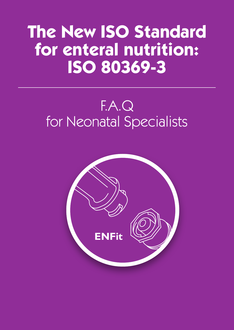# **The New ISO Standard for enteral nutrition: ISO 80369-3**

# F.A.Q for Neonatal Specialists

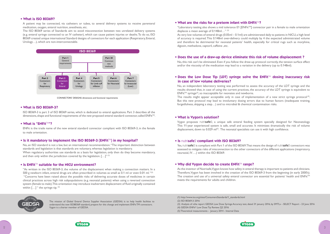





## **• What is ISO 80369?**

A patient may be connected, via catheters or tubes, to several delivery systems to receive parenteral medication, oxygen, enteral nutrition, anesthesia, etc.

The ISO 80369 series of Standards aim to avoid misconnection between two unrelated delivery systems (e.g. enteral syringe connected to an IV catheter), which can cause patient injuries or deaths. To do so, ISO 80369 created unique international Standard designs of connectors for each application (Respiratory, Enteral, Urology…), which are non-interconnectable.

ISO 80369-3 is part 3 of ISO 80369 series, which is dedicated to enteral applications. Part 3 describes all the dimensions, shape and functional requirements of the new proposed enteral standard connector, called ENFit<sup>™</sup>.

No, an ISO standard is not a law, but an international recommendation. "The important distinction between standards and legislation is that standards are voluntary, whereas legislation is mandatory. When regulatory authorities use standards as a basis for legislation, only then do they become mandatory, and then only within the jurisdiction covered by the legislation.  $[\dots]^{v(1)}$ 

#### **• Is ENFit<sup>™</sup> suitable for the NICU environment?**



CONNECTORS' DESIGNS: dimensions and functional requirements

"As written in the ISO 80369-3, the volume of the displacement when making a connection matters. In a 500 g newborn infant, enteral drugs are often prescribed in volumes as small as 0.1 ml or even 0.01 ml.  $(2)$  "Concerns have been raised about the possible risks of delivering accurate doses of medicines in certain clinical practices across high risk subpopulations (e.g. neonatal patients) when using a reversed connection system (female to male). This orientation may introduce inadvertent displacement of fluid originally contained within  $\left[ \ldots \right]$  " the syringe tip.  $\left( \frac{2}{2} \right)$ 



## **• What is ISO 80369-3?**

## **• What is "ENFit**TM**"?**

ENFit is the trade name of the new enteral standard connector compliant with ISO 80369-3, in the female to male orientation.

### • Is it mandatory to implement the ISO 80369-3 (ENFit<sup>TM</sup>) in my hospital?

"Laboratory testing also shows a mid tolerance  $E1$   $EENFit^{TM}$ ] connector pair in a female to male orientation displaces a mean average of 0.148ml…" (2)

# • Does the Low Dose Tip (LDT) syringe solve the ENFit<sup>TM</sup> dosing inaccuracy risk **in case of low volume deliveries?**

Vygon proposes nutri**safe**2, a unique safe enteral feeding system specially designed for Neonatology. This 11-year experienced system is safe, small and accurate. It minimizes dramatically the risk of volume displacement, down to  $0.029$  m $\left|^{(5)}\right|$ . The neonatal specialists can use it with high confidence.

As very low volumes of enteral drugs (0.05ml – 0.1ml) are administrated daily to patients in NICU, a high level of accuracy is required. This 0.148ml over-delivery could multiply by 4 the expected administrated volume and therefore be detrimental for neonatal patients' health, especially for critical rugs such as morphine, digoxin, methadone, captoril, caffeine ,etc.

# **• Does the use of a draw-up device eliminate this risk of volume displacement ?**

No, this risk can't be eliminated. Even if you follow the draw-up protocol correctly, the tension surface effect and/or the viscosity of the medication may lead to a variation in the delivery (up to 0.148ml).

No, an independent laboratory testing was performed to assess the accuracy of the LDT syringe and the results showed that, in case of using the current practices, the accuracy of the LDT syringe is equivalent to  $ENFit^{TM}$  syringe<sup>(3)</sup>, so inacceptable for neonates and newborns. The results might appear acceptable only in case of implementation of a new strict syringe protocol<sup>(4)</sup>. But this new protocol may lead to involuntary dosing errors due to human factors (inadequate training, forgetfulness, skipping a step…) and to microbial & chemical contamination risks.

#### **• What is Vygon's solution?**

#### **• Is** nutri**safe**2 **compliant with ISO 80369?**

Yes, nutri**safe**2 is compliant with Part 1 of the ISO 80369. That means the design of nutri**safe**2 connectors was assessed to mitigate risks of misconnection to the other connectors of the different applications (respiratory, neuraxial, IV….) within the ISO 80369.

# **• Why did Vygon decide to create ENFit™ range?**

As the inventor of Nutrisafe, Vygon knows how safety in enteral therapy is important to patients and clinicians. Therefore, Vygon has been involved in the creation of the ISO 80369-3 from the beginning (in early 2000's). The creation and use of a universal safety enteral connector are essential for patients' health and ENFit™ meets the requirements for adults and children.

The mission of Global Enteral Device Supplier Association (GEDSA) is to help health facilities to understand the new ISO80369 standard, prepare for this change and implement ENFit TM connectors. Vygon is a charter member of GEDSA.

# • What are the risks for a preterm infant with ENFit<sup>TM</sup>?

(1) http://www.iso.org/sites/ConsumersStandards/1\_standards.html (2) ISO 80369-3: 2016

(3) Analysis of «the report GEDSA Low Dose Syringe Accuracy test, dated 31 january 2016, by SMTL» - SELECT Report - 23 June 2016



(4) GEDSA ENFit® Low Dose Tip Review, Q2 2016

(5) Theoretical measurements - January 2014 - Internal Data